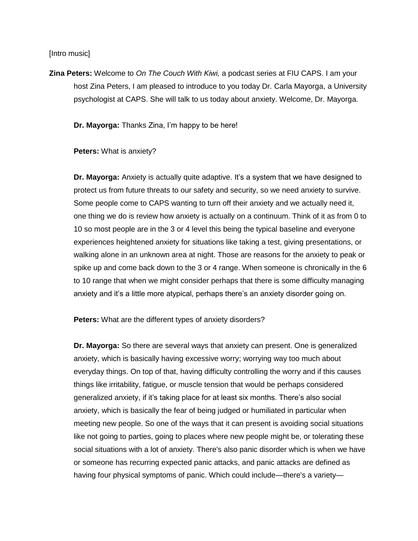[Intro music]

**Zina Peters:** Welcome to *On The Couch With Kiwi,* a podcast series at FIU CAPS. I am your host Zina Peters, I am pleased to introduce to you today Dr. Carla Mayorga, a University psychologist at CAPS. She will talk to us today about anxiety. Welcome, Dr. Mayorga.

**Dr. Mayorga:** Thanks Zina, I'm happy to be here!

**Peters:** What is anxiety?

**Dr. Mayorga:** Anxiety is actually quite adaptive. It's a system that we have designed to protect us from future threats to our safety and security, so we need anxiety to survive. Some people come to CAPS wanting to turn off their anxiety and we actually need it, one thing we do is review how anxiety is actually on a continuum. Think of it as from 0 to 10 so most people are in the 3 or 4 level this being the typical baseline and everyone experiences heightened anxiety for situations like taking a test, giving presentations, or walking alone in an unknown area at night. Those are reasons for the anxiety to peak or spike up and come back down to the 3 or 4 range. When someone is chronically in the 6 to 10 range that when we might consider perhaps that there is some difficulty managing anxiety and it's a little more atypical, perhaps there's an anxiety disorder going on.

**Peters:** What are the different types of anxiety disorders?

**Dr. Mayorga:** So there are several ways that anxiety can present. One is generalized anxiety, which is basically having excessive worry; worrying way too much about everyday things. On top of that, having difficulty controlling the worry and if this causes things like irritability, fatigue, or muscle tension that would be perhaps considered generalized anxiety, if it's taking place for at least six months. There's also social anxiety, which is basically the fear of being judged or humiliated in particular when meeting new people. So one of the ways that it can present is avoiding social situations like not going to parties, going to places where new people might be, or tolerating these social situations with a lot of anxiety. There's also panic disorder which is when we have or someone has recurring expected panic attacks, and panic attacks are defined as having four physical symptoms of panic. Which could include—there's a variety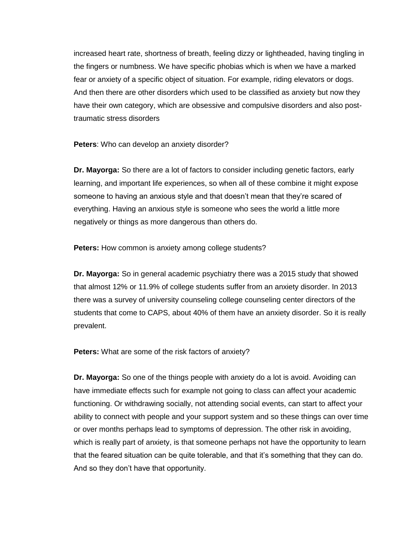increased heart rate, shortness of breath, feeling dizzy or lightheaded, having tingling in the fingers or numbness. We have specific phobias which is when we have a marked fear or anxiety of a specific object of situation. For example, riding elevators or dogs. And then there are other disorders which used to be classified as anxiety but now they have their own category, which are obsessive and compulsive disorders and also posttraumatic stress disorders

**Peters**: Who can develop an anxiety disorder?

**Dr. Mayorga:** So there are a lot of factors to consider including genetic factors, early learning, and important life experiences, so when all of these combine it might expose someone to having an anxious style and that doesn't mean that they're scared of everything. Having an anxious style is someone who sees the world a little more negatively or things as more dangerous than others do.

**Peters:** How common is anxiety among college students?

**Dr. Mayorga:** So in general academic psychiatry there was a 2015 study that showed that almost 12% or 11.9% of college students suffer from an anxiety disorder. In 2013 there was a survey of university counseling college counseling center directors of the students that come to CAPS, about 40% of them have an anxiety disorder. So it is really prevalent.

**Peters:** What are some of the risk factors of anxiety?

**Dr. Mayorga:** So one of the things people with anxiety do a lot is avoid. Avoiding can have immediate effects such for example not going to class can affect your academic functioning. Or withdrawing socially, not attending social events, can start to affect your ability to connect with people and your support system and so these things can over time or over months perhaps lead to symptoms of depression. The other risk in avoiding, which is really part of anxiety, is that someone perhaps not have the opportunity to learn that the feared situation can be quite tolerable, and that it's something that they can do. And so they don't have that opportunity.